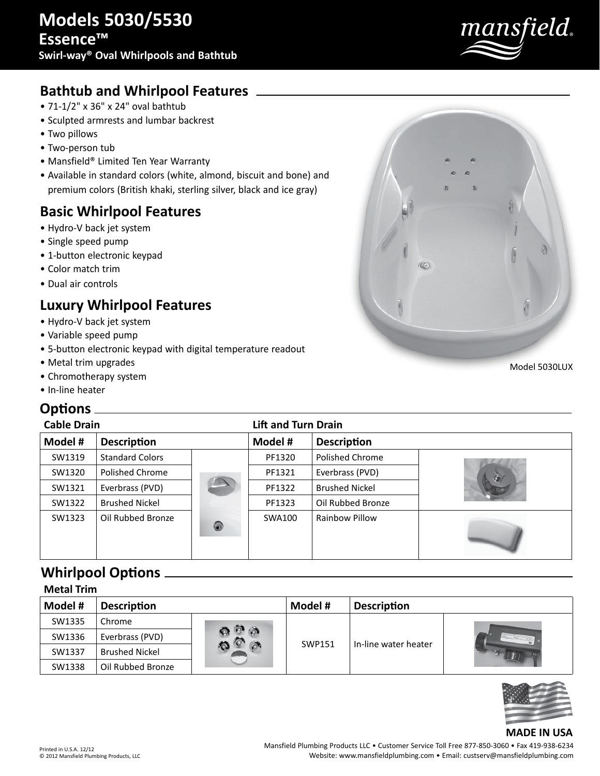

# **Bathtub and Whirlpool Features**

- 71-1/2" x 36" x 24" oval bathtub
- Sculpted armrests and lumbar backrest
- Two pillows
- Two-person tub
- Mansfield® Limited Ten Year Warranty
- Available in standard colors (white, almond, biscuit and bone) and premium colors (British khaki, sterling silver, black and ice gray)

# **Basic Whirlpool Features**

- Hydro-V back jet system
- Single speed pump
- 1-button electronic keypad
- Color match trim
- Dual air controls

# **Luxury Whirlpool Features**

- Hydro-V back jet system
- Variable speed pump
- 5-button electronic keypad with digital temperature readout
- Metal trim upgrades
- Chromotherapy system
- In-line heater

# **Options**

| <b>Cable Drain</b> |                        | <b>Lift and Turn Drain</b> |         |                       |    |
|--------------------|------------------------|----------------------------|---------|-----------------------|----|
| Model #            | <b>Description</b>     |                            | Model # | <b>Description</b>    |    |
| SW1319             | <b>Standard Colors</b> |                            | PF1320  | Polished Chrome       |    |
| SW1320             | Polished Chrome        |                            | PF1321  | Everbrass (PVD)       | 32 |
| SW1321             | Everbrass (PVD)        |                            | PF1322  | <b>Brushed Nickel</b> |    |
| SW1322             | <b>Brushed Nickel</b>  |                            | PF1323  | Oil Rubbed Bronze     |    |
| SW1323             | Oil Rubbed Bronze      | $\circledcirc$             | SWA100  | Rainbow Pillow        |    |

## **Whirlpool Options**

| <b>Metal Trim</b> |                       |    |         |                      |                                                  |  |
|-------------------|-----------------------|----|---------|----------------------|--------------------------------------------------|--|
| Model #           | <b>Description</b>    |    | Model # | <b>Description</b>   |                                                  |  |
| SW1335            | Chrome                | ۵N | SWP151  | In-line water heater | <b>State Corporation Corporation Corporation</b> |  |
| SW1336            | Everbrass (PVD)       |    |         |                      |                                                  |  |
| SW1337            | <b>Brushed Nickel</b> |    |         |                      |                                                  |  |
| SW1338            | Oil Rubbed Bronze     |    |         |                      |                                                  |  |



### **MADE IN USA**

Printed in U.S.A. 12/12 © 2012 Mansfield Plumbing Products, LLC Model 5030LUX